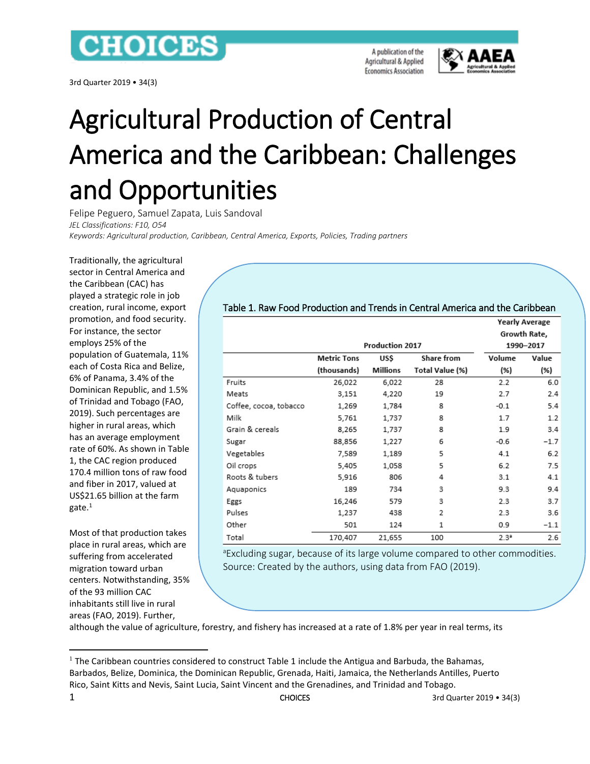## **CHOICES**

3rd Quarter 2019 • 34(3)

A publication of the Agricultural & Applied **Economics Association** 



**Yearly Average** 

# Agricultural Production of Central America and the Caribbean: Challenges and Opportunities

Felipe Peguero, Samuel Zapata, Luis Sandoval *JEL Classifications: F10, O54 Keywords: Agricultural production, Caribbean, Central America, Exports, Policies, Trading partners*

Traditionally, the agricultural sector in Central America and the Caribbean (CAC) has played a strategic role in job creation, rural income, export promotion, and food security. For instance, the sector employs 25% of the population of Guatemala, 11% each of Costa Rica and Belize, 6% of Panama, 3.4% of the Dominican Republic, and 1.5% of Trinidad and Tobago (FAO, 2019). Such percentages are higher in rural areas, which has an average employment rate of 60%. As shown in Table 1, the CAC region produced 170.4 million tons of raw food and fiber in 2017, valued at US\$21.65 billion at the farm gate.<sup>1</sup>

Most of that production takes place in rural areas, which are suffering from accelerated migration toward urban centers. Notwithstanding, 35% of the 93 million CAC inhabitants still live in rural areas (FAO, 2019). Further,

 $\overline{a}$ 

#### Table 1. Raw Food Production and Trends in Central America and the Caribbean

|                        |             | <b>Production 2017</b> | Growth Rate,<br>1990-2017 |         |        |
|------------------------|-------------|------------------------|---------------------------|---------|--------|
|                        | Metric Tons | Volume                 | Value                     |         |        |
|                        | (thousands) | Millions               | Total Value (%)           | (%)     | (%)    |
| Fruits                 | 26,022      | 6,022                  | 28                        | 2.2     | 6.0    |
| Meats                  | 3,151       | 4,220                  | 19                        | 2.7     | 2.4    |
| Coffee, cocoa, tobacco | 1,269       | 1,784                  | 8                         | $-0.1$  | 5.4    |
| Milk                   | 5,761       | 1,737                  | 8                         | 1.7     | 1.2    |
| Grain & cereals        | 8,265       | 1,737                  | 8                         | 1.9     | 3.4    |
| Sugar                  | 88,856      | 1,227                  | 6                         | $-0.6$  | $-1.7$ |
| Vegetables             | 7,589       | 1,189                  | 5                         | 4.1     | 6.2    |
| Oil crops              | 5,405       | 1,058                  | 5                         | 6.2     | 7.5    |
| Roots & tubers         | 5,916       | 806                    | 4                         | 3.1     | 4.1    |
| Aquaponics             | 189         | 734                    | 3                         | 9.3     | 9.4    |
| Eggs                   | 16,246      | 579                    | 3                         | 2.3     | 3.7    |
| Pulses                 | 1,237       | 438                    | 2                         | 2.3     | 3.6    |
| Other                  | 501         | 124                    | 1                         | 0.9     | $-1.1$ |
| Total                  | 170,407     | 21,655                 | 100                       | $2.3^a$ | 2.6    |

<sup>a</sup>Excluding sugar, because of its large volume compared to other commodities. Source: Created by the authors, using data from FAO (2019).

although the value of agriculture, forestry, and fishery has increased at a rate of 1.8% per year in real terms, its

 $<sup>1</sup>$  The Caribbean countries considered to construct Table 1 include the Antigua and Barbuda, the Bahamas,</sup> Barbados, Belize, Dominica, the Dominican Republic, Grenada, Haiti, Jamaica, the Netherlands Antilles, Puerto Rico, Saint Kitts and Nevis, Saint Lucia, Saint Vincent and the Grenadines, and Trinidad and Tobago.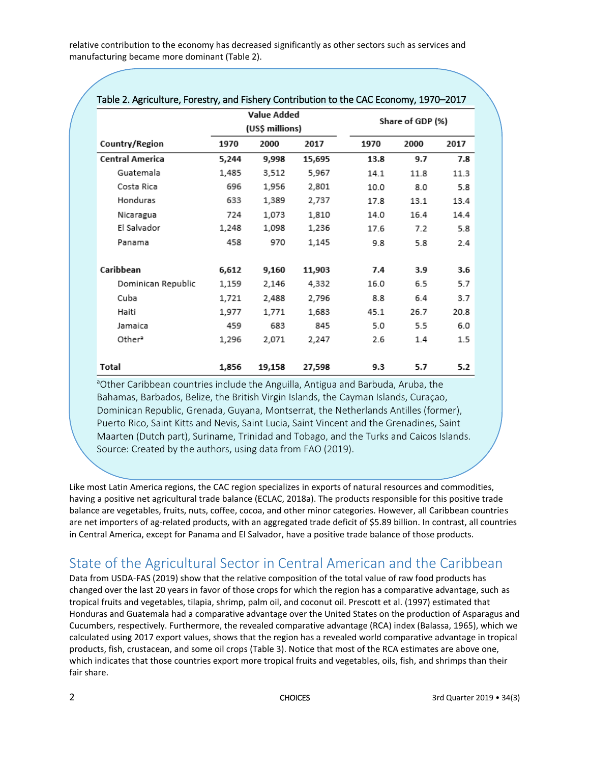relative contribution to the economy has decreased significantly as other sectors such as services and manufacturing became more dominant (Table 2).

| Table 2. Agriculture, Forestry, and Fishery Contribution to the CAC Economy, 1970–2017 |                                       |        |        |                  |      |      |  |
|----------------------------------------------------------------------------------------|---------------------------------------|--------|--------|------------------|------|------|--|
|                                                                                        | <b>Value Added</b><br>(US\$ millions) |        |        | Share of GDP (%) |      |      |  |
| Country/Region                                                                         | 1970                                  | 2000   | 2017   | 1970             | 2000 | 2017 |  |
| <b>Central America</b>                                                                 | 5,244                                 | 9,998  | 15,695 | 13.8             | 9.7  | 7.8  |  |
| Guatemala                                                                              | 1,485                                 | 3,512  | 5,967  | 14.1             | 11.8 | 11.3 |  |
| Costa Rica                                                                             | 696                                   | 1,956  | 2,801  | 10.0             | 8.0  | 5.8  |  |
| Honduras                                                                               | 633                                   | 1,389  | 2,737  | 17.8             | 13.1 | 13.4 |  |
| Nicaragua                                                                              | 724                                   | 1,073  | 1,810  | 14.0             | 16.4 | 14.4 |  |
| El Salvador                                                                            | 1,248                                 | 1,098  | 1,236  | 17.6             | 7.2  | 5.8  |  |
| Panama                                                                                 | 458                                   | 970    | 1,145  | 9.8              | 5.8  | 2.4  |  |
| Caribbean                                                                              | 6,612                                 | 9,160  | 11,903 | 7.4              | 3.9  | 3.6  |  |
| Dominican Republic                                                                     | 1,159                                 | 2,146  | 4,332  | 16.0             | 6.5  | 5.7  |  |
| Cuba                                                                                   | 1,721                                 | 2,488  | 2,796  | 8.8              | 6.4  | 3.7  |  |
| Haiti                                                                                  | 1,977                                 | 1,771  | 1,683  | 45.1             | 26.7 | 20.8 |  |
| Jamaica                                                                                | 459                                   | 683    | 845    | 5.0              | 5.5  | 6.0  |  |
| Other <sup>2</sup>                                                                     | 1,296                                 | 2,071  | 2,247  | 2.6              | 1.4  | 1.5  |  |
| Total                                                                                  | 1,856                                 | 19,158 | 27,598 | 9.3              | 5.7  | 5.2  |  |

#### Table 2. Agriculture, Forestry, and Fishery Contribution to the CAC Economy, 1970–2017

aOther Caribbean countries include the Anguilla, Antigua and Barbuda, Aruba, the Bahamas, Barbados, Belize, the British Virgin Islands, the Cayman Islands, Curaçao, Dominican Republic, Grenada, Guyana, Montserrat, the Netherlands Antilles (former), Puerto Rico, Saint Kitts and Nevis, Saint Lucia, Saint Vincent and the Grenadines, Saint Maarten (Dutch part), Suriname, Trinidad and Tobago, and the Turks and Caicos Islands. Source: Created by the authors, using data from FAO (2019).

Like most Latin America regions, the CAC region specializes in exports of natural resources and commodities, having a positive net agricultural trade balance (ECLAC, 2018a). The products responsible for this positive trade balance are vegetables, fruits, nuts, coffee, cocoa, and other minor categories. However, all Caribbean countries are net importers of ag-related products, with an aggregated trade deficit of \$5.89 billion. In contrast, all countries in Central America, except for Panama and El Salvador, have a positive trade balance of those products.

## State of the Agricultural Sector in Central American and the Caribbean

Data from USDA-FAS (2019) show that the relative composition of the total value of raw food products has changed over the last 20 years in favor of those crops for which the region has a comparative advantage, such as tropical fruits and vegetables, tilapia, shrimp, palm oil, and coconut oil. Prescott et al. (1997) estimated that Honduras and Guatemala had a comparative advantage over the United States on the production of Asparagus and Cucumbers, respectively. Furthermore, the revealed comparative advantage (RCA) index (Balassa, 1965), which we calculated using 2017 export values, shows that the region has a revealed world comparative advantage in tropical products, fish, crustacean, and some oil crops (Table 3). Notice that most of the RCA estimates are above one, which indicates that those countries export more tropical fruits and vegetables, oils, fish, and shrimps than their fair share.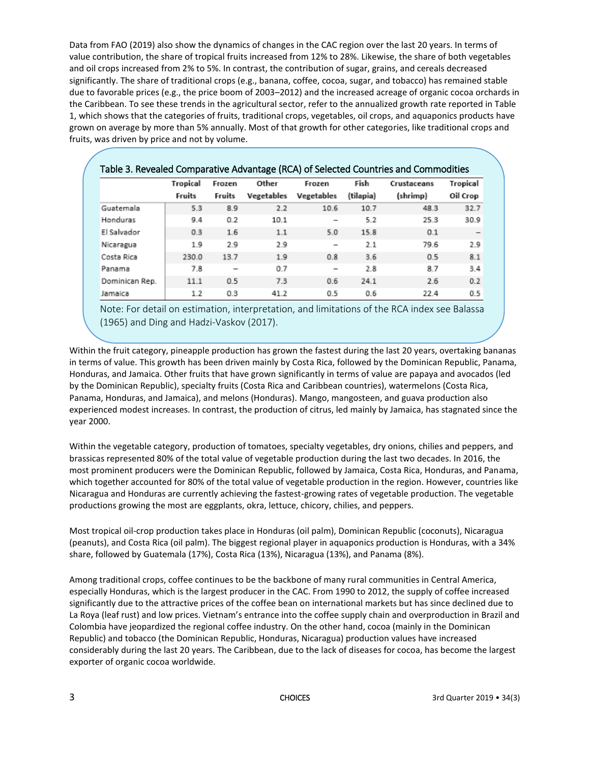Data from FAO (2019) also show the dynamics of changes in the CAC region over the last 20 years. In terms of value contribution, the share of tropical fruits increased from 12% to 28%. Likewise, the share of both vegetables and oil crops increased from 2% to 5%. In contrast, the contribution of sugar, grains, and cereals decreased significantly. The share of traditional crops (e.g., banana, coffee, cocoa, sugar, and tobacco) has remained stable due to favorable prices (e.g., the price boom of 2003–2012) and the increased acreage of organic cocoa orchards in the Caribbean. To see these trends in the agricultural sector, refer to the annualized growth rate reported in Table 1, which shows that the categories of fruits, traditional crops, vegetables, oil crops, and aquaponics products have grown on average by more than 5% annually. Most of that growth for other categories, like traditional crops and fruits, was driven by price and not by volume.

| Table 3. Revealed Comparative Advantage (RCA) of Selected Countries and Commodities |                 |                          |            |                          |           |             |          |  |
|-------------------------------------------------------------------------------------|-----------------|--------------------------|------------|--------------------------|-----------|-------------|----------|--|
|                                                                                     | <b>Tropical</b> | Frozen                   | Other      | Frozen                   | Fish      | Crustaceans | Tropical |  |
|                                                                                     | Fruits          | Fruits                   | Vegetables | <b>Vegetables</b>        | (tilapia) | (shrimp)    | Oil Crop |  |
| Guatemala                                                                           | 5.3             | 8.9                      | 2.2        | 10.6                     | 10.7      | 48.3        | 32.7     |  |
| Honduras                                                                            | 9.4             | 0.2                      | 10.1       |                          | 5.2       | 25.3        | 30.9     |  |
| El Salvador                                                                         | 0.3             | 1.6                      | 1.1        | 5.0                      | 15.8      | 0.1         |          |  |
| Nicaragua                                                                           | 1.9             | 2.9                      | 2.9        | -                        | 2.1       | 79.6        | 2.9      |  |
| Costa Rica                                                                          | 230.0           | 13.7                     | 1.9        | 0.8                      | 3.6       | 0.5         | 8.1      |  |
| Panama                                                                              | 7.8             | $\overline{\phantom{0}}$ | 0.7        | $\overline{\phantom{0}}$ | 2.8       | 8.7         | 3.4      |  |
| Dominican Rep.                                                                      | 11.1            | 0.5                      | 7.3        | 0.6                      | 24.1      | 2.6         | 0.2      |  |
| Jamaica                                                                             | 1.2             | 0.3                      | 41.2       | 0.5                      | 0.6       | 22.4        | 0.5      |  |

Note: For detail on estimation, interpretation, and limitations of the RCA index see Balassa (1965) and Ding and Hadzi-Vaskov (2017).

Within the fruit category, pineapple production has grown the fastest during the last 20 years, overtaking bananas in terms of value. This growth has been driven mainly by Costa Rica, followed by the Dominican Republic, Panama, Honduras, and Jamaica. Other fruits that have grown significantly in terms of value are papaya and avocados (led by the Dominican Republic), specialty fruits (Costa Rica and Caribbean countries), watermelons (Costa Rica, Panama, Honduras, and Jamaica), and melons (Honduras). Mango, mangosteen, and guava production also experienced modest increases. In contrast, the production of citrus, led mainly by Jamaica, has stagnated since the year 2000.

Within the vegetable category, production of tomatoes, specialty vegetables, dry onions, chilies and peppers, and brassicas represented 80% of the total value of vegetable production during the last two decades. In 2016, the most prominent producers were the Dominican Republic, followed by Jamaica, Costa Rica, Honduras, and Panama, which together accounted for 80% of the total value of vegetable production in the region. However, countries like Nicaragua and Honduras are currently achieving the fastest-growing rates of vegetable production. The vegetable productions growing the most are eggplants, okra, lettuce, chicory, chilies, and peppers.

Most tropical oil-crop production takes place in Honduras (oil palm), Dominican Republic (coconuts), Nicaragua (peanuts), and Costa Rica (oil palm). The biggest regional player in aquaponics production is Honduras, with a 34% share, followed by Guatemala (17%), Costa Rica (13%), Nicaragua (13%), and Panama (8%).

Among traditional crops, coffee continues to be the backbone of many rural communities in Central America, especially Honduras, which is the largest producer in the CAC. From 1990 to 2012, the supply of coffee increased significantly due to the attractive prices of the coffee bean on international markets but has since declined due to La Roya (leaf rust) and low prices. Vietnam's entrance into the coffee supply chain and overproduction in Brazil and Colombia have jeopardized the regional coffee industry. On the other hand, cocoa (mainly in the Dominican Republic) and tobacco (the Dominican Republic, Honduras, Nicaragua) production values have increased considerably during the last 20 years. The Caribbean, due to the lack of diseases for cocoa, has become the largest exporter of organic cocoa worldwide.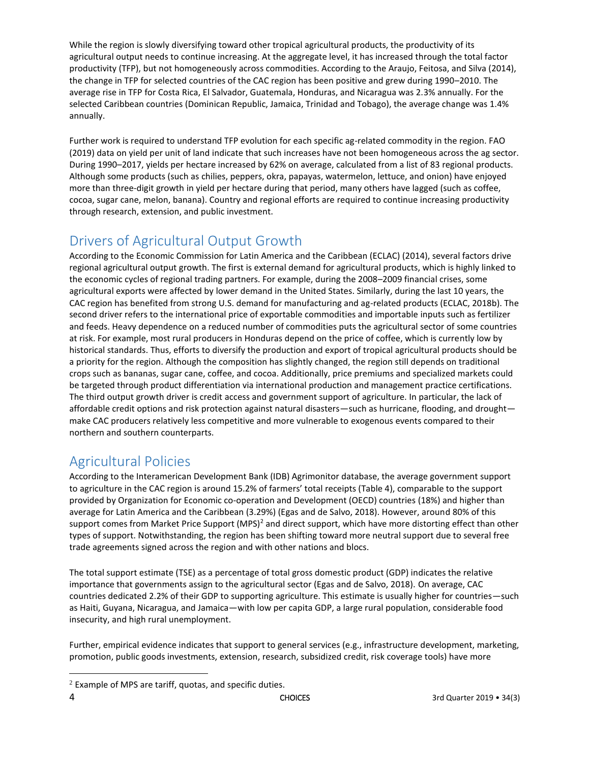While the region is slowly diversifying toward other tropical agricultural products, the productivity of its agricultural output needs to continue increasing. At the aggregate level, it has increased through the total factor productivity (TFP), but not homogeneously across commodities. According to the Araujo, Feitosa, and Silva (2014), the change in TFP for selected countries of the CAC region has been positive and grew during 1990–2010. The average rise in TFP for Costa Rica, El Salvador, Guatemala, Honduras, and Nicaragua was 2.3% annually. For the selected Caribbean countries (Dominican Republic, Jamaica, Trinidad and Tobago), the average change was 1.4% annually.

Further work is required to understand TFP evolution for each specific ag-related commodity in the region. FAO (2019) data on yield per unit of land indicate that such increases have not been homogeneous across the ag sector. During 1990–2017, yields per hectare increased by 62% on average, calculated from a list of 83 regional products. Although some products (such as chilies, peppers, okra, papayas, watermelon, lettuce, and onion) have enjoyed more than three-digit growth in yield per hectare during that period, many others have lagged (such as coffee, cocoa, sugar cane, melon, banana). Country and regional efforts are required to continue increasing productivity through research, extension, and public investment.

## Drivers of Agricultural Output Growth

According to the Economic Commission for Latin America and the Caribbean (ECLAC) (2014), several factors drive regional agricultural output growth. The first is external demand for agricultural products, which is highly linked to the economic cycles of regional trading partners. For example, during the 2008–2009 financial crises, some agricultural exports were affected by lower demand in the United States. Similarly, during the last 10 years, the CAC region has benefited from strong U.S. demand for manufacturing and ag-related products (ECLAC, 2018b). The second driver refers to the international price of exportable commodities and importable inputs such as fertilizer and feeds. Heavy dependence on a reduced number of commodities puts the agricultural sector of some countries at risk. For example, most rural producers in Honduras depend on the price of coffee, which is currently low by historical standards. Thus, efforts to diversify the production and export of tropical agricultural products should be a priority for the region. Although the composition has slightly changed, the region still depends on traditional crops such as bananas, sugar cane, coffee, and cocoa. Additionally, price premiums and specialized markets could be targeted through product differentiation via international production and management practice certifications. The third output growth driver is credit access and government support of agriculture. In particular, the lack of affordable credit options and risk protection against natural disasters—such as hurricane, flooding, and drought make CAC producers relatively less competitive and more vulnerable to exogenous events compared to their northern and southern counterparts.

## Agricultural Policies

 $\overline{\phantom{a}}$ 

According to the Interamerican Development Bank (IDB) Agrimonitor database, the average government support to agriculture in the CAC region is around 15.2% of farmers' total receipts (Table 4), comparable to the support provided by Organization for Economic co-operation and Development (OECD) countries (18%) and higher than average for Latin America and the Caribbean (3.29%) (Egas and de Salvo, 2018). However, around 80% of this support comes from Market Price Support (MPS)<sup>2</sup> and direct support, which have more distorting effect than other types of support. Notwithstanding, the region has been shifting toward more neutral support due to several free trade agreements signed across the region and with other nations and blocs.

The total support estimate (TSE) as a percentage of total gross domestic product (GDP) indicates the relative importance that governments assign to the agricultural sector (Egas and de Salvo, 2018). On average, CAC countries dedicated 2.2% of their GDP to supporting agriculture. This estimate is usually higher for countries—such as Haiti, Guyana, Nicaragua, and Jamaica—with low per capita GDP, a large rural population, considerable food insecurity, and high rural unemployment.

Further, empirical evidence indicates that support to general services (e.g., infrastructure development, marketing, promotion, public goods investments, extension, research, subsidized credit, risk coverage tools) have more

 $2$  Example of MPS are tariff, quotas, and specific duties.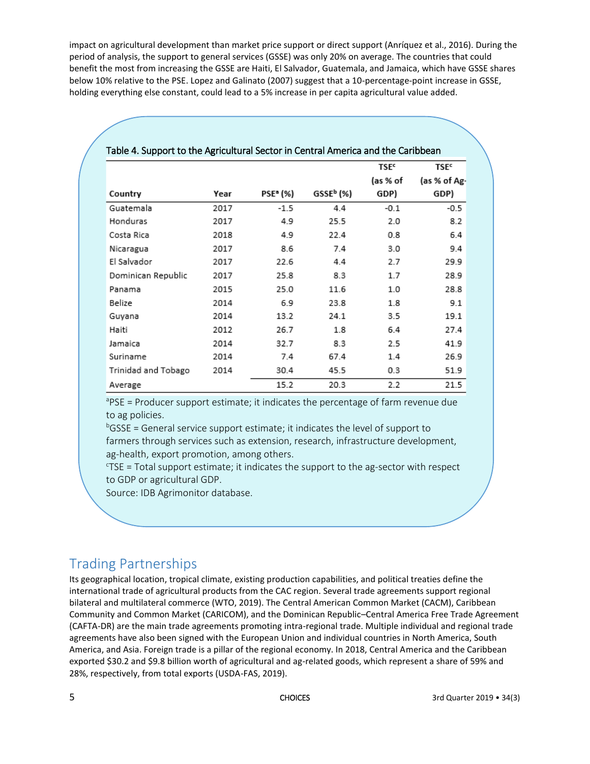impact on agricultural development than market price support or direct support (Anríquez et al., 2016). During the period of analysis, the support to general services (GSSE) was only 20% on average. The countries that could benefit the most from increasing the GSSE are Haiti, El Salvador, Guatemala, and Jamaica, which have GSSE shares below 10% relative to the PSE. Lopez and Galinato (2007) suggest that a 10-percentage-point increase in GSSE, holding everything else constant, could lead to a 5% increase in per capita agricultural value added.

|                     |      |          |                       | <b>TSE<sup>c</sup></b> | <b>TSE<sup>c</sup></b> |  |
|---------------------|------|----------|-----------------------|------------------------|------------------------|--|
|                     |      |          |                       | (as % of               | (as % of Ag-           |  |
| Country             | Year | PSEª (%) | GSSE <sup>b</sup> (%) | GDP)                   | GDP)                   |  |
| Guatemala           | 2017 | $-1.5$   | 4.4                   | $-0.1$                 | -0.5                   |  |
| Honduras            | 2017 | 4.9      | 25.5                  | 2.0                    | 8.2                    |  |
| Costa Rica          | 2018 | 4.9      | 22.4                  | 0.8                    | 6.4                    |  |
| Nicaragua           | 2017 | 8.6      | 7.4                   | 3.0                    | 9.4                    |  |
| El Salvador         | 2017 | 22.6     | 4.4                   | 2.7                    | 29.9                   |  |
| Dominican Republic  | 2017 | 25.8     | 8.3                   | 1.7                    | 28.9                   |  |
| Panama              | 2015 | 25.0     | 11.6                  | 1.0                    | 28.8                   |  |
| Belize              | 2014 | 6.9      | 23.8                  | 1.8                    | 9.1                    |  |
| Guyana              | 2014 | 13.2     | 24.1                  | 3.5                    | 19.1                   |  |
| Haiti               | 2012 | 26.7     | 1.8                   | 6.4                    | 27.4                   |  |
| Jamaica             | 2014 | 32.7     | 8.3                   | 2.5                    | 41.9                   |  |
| Suriname            | 2014 | 7.4      | 67.4                  | 1.4                    | 26.9                   |  |
| Trinidad and Tobago | 2014 | 30.4     | 45.5                  | 0.3                    | 51.9                   |  |
| Average             |      | 15.2     | 20.3                  | 2.2                    | 21.5                   |  |

#### Table 4. Support to the Agricultural Sector in Central America and the Caribbean

<sup>a</sup>PSE = Producer support estimate; it indicates the percentage of farm revenue due to ag policies.

 $b$ GSSE = General service support estimate; it indicates the level of support to farmers through services such as extension, research, infrastructure development, ag-health, export promotion, among others.

 $TSE$  = Total support estimate; it indicates the support to the ag-sector with respect to GDP or agricultural GDP.

Source: IDB Agrimonitor database.

## Trading Partnerships

Its geographical location, tropical climate, existing production capabilities, and political treaties define the international trade of agricultural products from the CAC region. Several trade agreements support regional bilateral and multilateral commerce (WTO, 2019). The Central American Common Market (CACM), Caribbean Community and Common Market (CARICOM), and the Dominican Republic–Central America Free Trade Agreement (CAFTA-DR) are the main trade agreements promoting intra-regional trade. Multiple individual and regional trade agreements have also been signed with the European Union and individual countries in North America, South America, and Asia. Foreign trade is a pillar of the regional economy. In 2018, Central America and the Caribbean exported \$30.2 and \$9.8 billion worth of agricultural and ag-related goods, which represent a share of 59% and 28%, respectively, from total exports (USDA-FAS, 2019).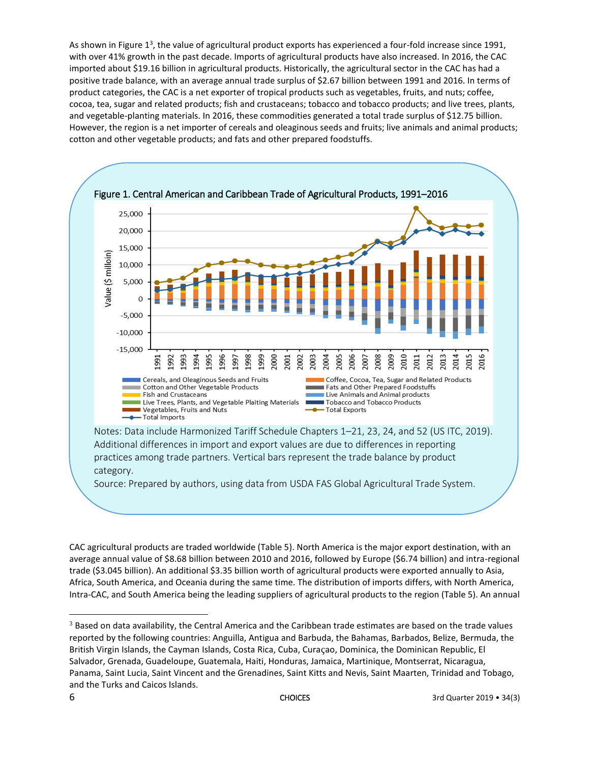As shown in Figure 1<sup>3</sup>, the value of agricultural product exports has experienced a four-fold increase since 1991, with over 41% growth in the past decade. Imports of agricultural products have also increased. In 2016, the CAC imported about \$19.16 billion in agricultural products. Historically, the agricultural sector in the CAC has had a positive trade balance, with an average annual trade surplus of \$2.67 billion between 1991 and 2016. In terms of product categories, the CAC is a net exporter of tropical products such as vegetables, fruits, and nuts; coffee, cocoa, tea, sugar and related products; fish and crustaceans; tobacco and tobacco products; and live trees, plants, and vegetable-planting materials. In 2016, these commodities generated a total trade surplus of \$12.75 billion. However, the region is a net importer of cereals and oleaginous seeds and fruits; live animals and animal products; cotton and other vegetable products; and fats and other prepared foodstuffs.



CAC agricultural products are traded worldwide (Table 5). North America is the major export destination, with an average annual value of \$8.68 billion between 2010 and 2016, followed by Europe (\$6.74 billion) and intra-regional trade (\$3.045 billion). An additional \$3.35 billion worth of agricultural products were exported annually to Asia, Africa, South America, and Oceania during the same time. The distribution of imports differs, with North America, Intra-CAC, and South America being the leading suppliers of agricultural products to the region (Table 5). An annual

 $\overline{\phantom{a}}$ 

<sup>&</sup>lt;sup>3</sup> Based on data availability, the Central America and the Caribbean trade estimates are based on the trade values reported by the following countries: Anguilla, Antigua and Barbuda, the Bahamas, Barbados, Belize, Bermuda, the British Virgin Islands, the Cayman Islands, Costa Rica, Cuba, Curaçao, Dominica, the Dominican Republic, El Salvador, Grenada, Guadeloupe, Guatemala, Haiti, Honduras, Jamaica, Martinique, Montserrat, Nicaragua, Panama, Saint Lucia, Saint Vincent and the Grenadines, Saint Kitts and Nevis, Saint Maarten, Trinidad and Tobago, and the Turks and Caicos Islands.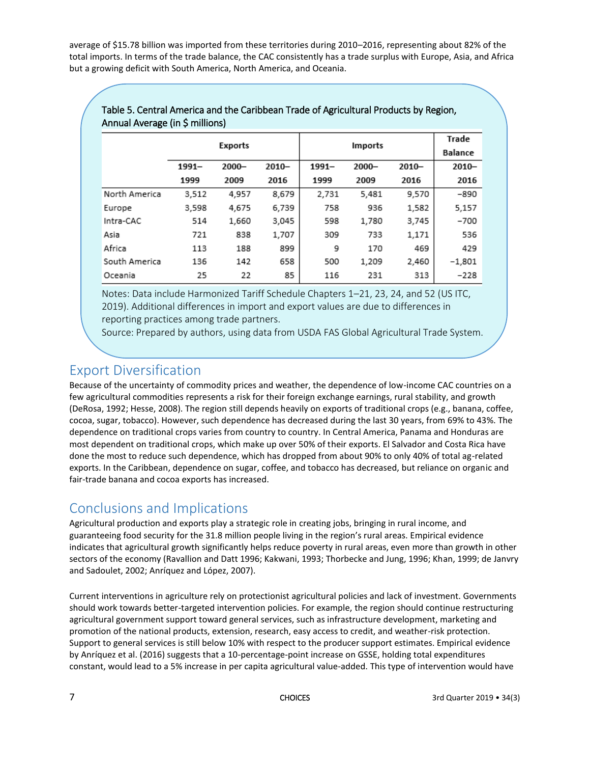average of \$15.78 billion was imported from these territories during 2010–2016, representing about 82% of the total imports. In terms of the trade balance, the CAC consistently has a trade surplus with Europe, Asia, and Africa but a growing deficit with South America, North America, and Oceania.

|               |          | <b>Exports</b> |          |          | <b>Imports</b> |          | Trade    |
|---------------|----------|----------------|----------|----------|----------------|----------|----------|
|               |          |                |          |          | <b>Balance</b> |          |          |
|               | $1991 -$ | $2000 -$       | $2010 -$ | $1991 -$ | $2000 -$       | $2010 -$ | $2010 -$ |
|               | 1999     | 2009           | 2016     | 1999     | 2009           | 2016     | 2016     |
| North America | 3,512    | 4.957          | 8,679    | 2.731    | 5.481          | 9.570    | $-890$   |
| Europe        | 3,598    | 4.675          | 6.739    | 758      | 936            | 1,582    | 5,157    |
| Intra-CAC     | 514      | 1.660          | 3,045    | 598      | 1.780          | 3,745    | $-700$   |
| Asia          | 721      | 838            | 1,707    | 309      | 733            | 1,171    | 536      |
| Africa        | 113      | 188            | 899      | 9        | 170            | 469      | 429      |
| South America | 136      | 142            | 658      | 500      | 1,209          | 2,460    | $-1,801$ |
| Oceania       | 25       | 22             | 85       | 116      | 231            | 313      | $-228$   |

#### Table 5. Central America and the Caribbean Trade of Agricultural Products by Region, Annual Average (in \$ millions)

Notes: Data include Harmonized Tariff Schedule Chapters 1–21, 23, 24, and 52 (US ITC, 2019). Additional differences in import and export values are due to differences in reporting practices among trade partners.

Source: Prepared by authors, using data from USDA FAS Global Agricultural Trade System.

## Export Diversification

Because of the uncertainty of commodity prices and weather, the dependence of low-income CAC countries on a few agricultural commodities represents a risk for their foreign exchange earnings, rural stability, and growth (DeRosa, 1992; Hesse, 2008). The region still depends heavily on exports of traditional crops (e.g., banana, coffee, cocoa, sugar, tobacco). However, such dependence has decreased during the last 30 years, from 69% to 43%. The dependence on traditional crops varies from country to country. In Central America, Panama and Honduras are most dependent on traditional crops, which make up over 50% of their exports. El Salvador and Costa Rica have done the most to reduce such dependence, which has dropped from about 90% to only 40% of total ag-related exports. In the Caribbean, dependence on sugar, coffee, and tobacco has decreased, but reliance on organic and fair-trade banana and cocoa exports has increased.

## Conclusions and Implications

Agricultural production and exports play a strategic role in creating jobs, bringing in rural income, and guaranteeing food security for the 31.8 million people living in the region's rural areas. Empirical evidence indicates that agricultural growth significantly helps reduce poverty in rural areas, even more than growth in other sectors of the economy (Ravallion and Datt 1996; Kakwani, 1993; Thorbecke and Jung, 1996; Khan, 1999; de Janvry and Sadoulet, 2002; Anríquez and López, 2007).

Current interventions in agriculture rely on protectionist agricultural policies and lack of investment. Governments should work towards better-targeted intervention policies. For example, the region should continue restructuring agricultural government support toward general services, such as infrastructure development, marketing and promotion of the national products, extension, research, easy access to credit, and weather-risk protection. Support to general services is still below 10% with respect to the producer support estimates. Empirical evidence by Anríquez et al. (2016) suggests that a 10-percentage-point increase on GSSE, holding total expenditures constant, would lead to a 5% increase in per capita agricultural value-added. This type of intervention would have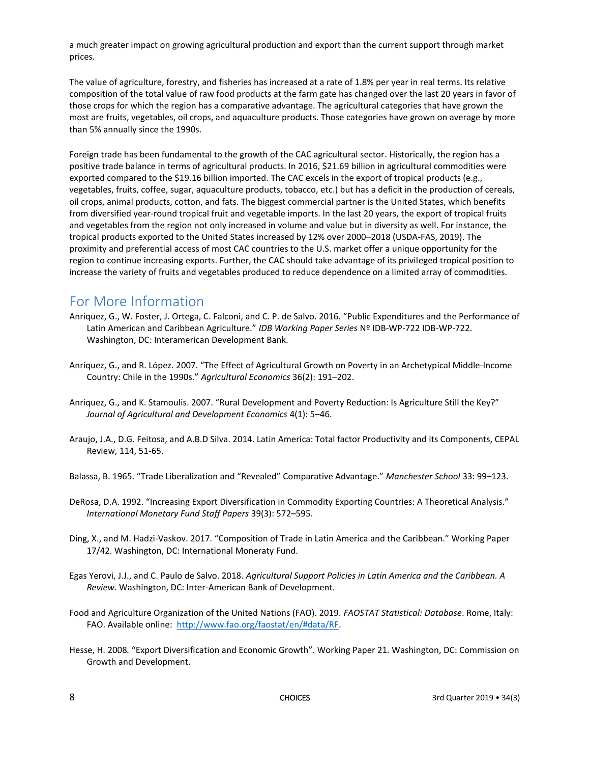a much greater impact on growing agricultural production and export than the current support through market prices.

The value of agriculture, forestry, and fisheries has increased at a rate of 1.8% per year in real terms. Its relative composition of the total value of raw food products at the farm gate has changed over the last 20 years in favor of those crops for which the region has a comparative advantage. The agricultural categories that have grown the most are fruits, vegetables, oil crops, and aquaculture products. Those categories have grown on average by more than 5% annually since the 1990s.

Foreign trade has been fundamental to the growth of the CAC agricultural sector. Historically, the region has a positive trade balance in terms of agricultural products. In 2016, \$21.69 billion in agricultural commodities were exported compared to the \$19.16 billion imported. The CAC excels in the export of tropical products (e.g., vegetables, fruits, coffee, sugar, aquaculture products, tobacco, etc.) but has a deficit in the production of cereals, oil crops, animal products, cotton, and fats. The biggest commercial partner is the United States, which benefits from diversified year-round tropical fruit and vegetable imports. In the last 20 years, the export of tropical fruits and vegetables from the region not only increased in volume and value but in diversity as well. For instance, the tropical products exported to the United States increased by 12% over 2000–2018 (USDA-FAS, 2019). The proximity and preferential access of most CAC countries to the U.S. market offer a unique opportunity for the region to continue increasing exports. Further, the CAC should take advantage of its privileged tropical position to increase the variety of fruits and vegetables produced to reduce dependence on a limited array of commodities.

## For More Information

- Anríquez, G., W. Foster, J. Ortega, C. Falconi, and C. P. de Salvo. 2016. "Public Expenditures and the Performance of Latin American and Caribbean Agriculture." *IDB Working Paper Series* Nº IDB-WP-722 IDB-WP-722. Washington, DC: Interamerican Development Bank.
- Anríquez, G., and R. López. 2007. "The Effect of Agricultural Growth on Poverty in an Archetypical Middle-Income Country: Chile in the 1990s." *Agricultural Economics* 36(2): 191–202.
- Anríquez, G., and K. Stamoulis. 2007. "Rural Development and Poverty Reduction: Is Agriculture Still the Key?" *Journal of Agricultural and Development Economics* 4(1): 5–46.
- Araujo, J.A., D.G. Feitosa, and A.B.D Silva. 2014. Latin America: Total factor Productivity and its Components, CEPAL Review, 114, 51-65.
- Balassa, B. 1965. "Trade Liberalization and "Revealed" Comparative Advantage." *Manchester School* 33: 99–123.
- DeRosa, D.A. 1992. "Increasing Export Diversification in Commodity Exporting Countries: A Theoretical Analysis." *International Monetary Fund Staff Papers* 39(3): 572–595.
- Ding, X., and M. Hadzi-Vaskov. 2017. "Composition of Trade in Latin America and the Caribbean." Working Paper 17/42. Washington, DC: International Moneraty Fund.
- Egas Yerovi, J.J., and C. Paulo de Salvo. 2018. *Agricultural Support Policies in Latin America and the Caribbean. A Review*. Washington, DC: Inter-American Bank of Development.
- Food and Agriculture Organization of the United Nations (FAO). 2019. *FAOSTAT Statistical: Database*. Rome, Italy: FAO. Available online: [http://www.fao.org/faostat/en/#data/RF.](http://www.fao.org/faostat/en/#data/RF)
- Hesse, H. 2008*.* "Export Diversification and Economic Growth". Working Paper 21. Washington, DC: Commission on Growth and Development.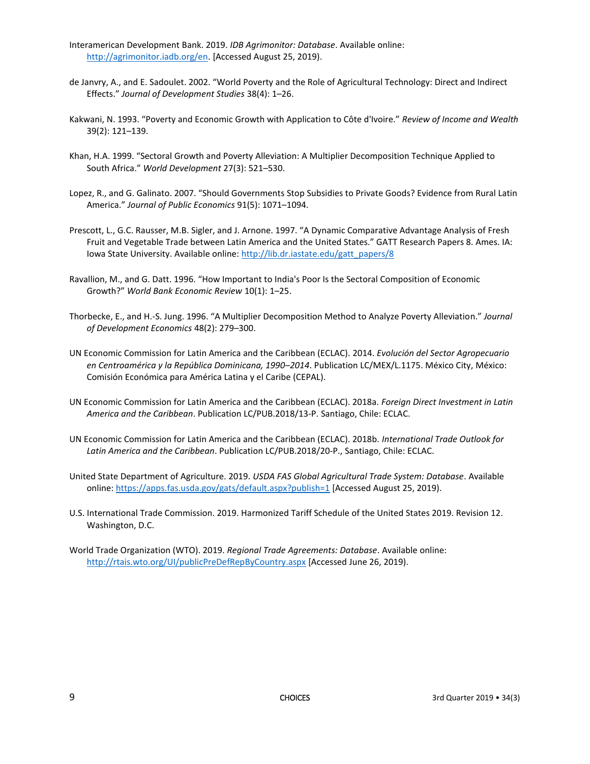- Interamerican Development Bank. 2019. *IDB Agrimonitor: Database*. Available online: [http://agrimonitor.iadb.org/en.](http://agrimonitor.iadb.org/en) [Accessed August 25, 2019).
- de Janvry, A., and E. Sadoulet. 2002. "World Poverty and the Role of Agricultural Technology: Direct and Indirect Effects." *Journal of Development Studies* 38(4): 1–26.
- Kakwani, N. 1993. "Poverty and Economic Growth with Application to Côte d'Ivoire." *Review of Income and Wealth*  39(2): 121–139.
- Khan, H.A. 1999. "Sectoral Growth and Poverty Alleviation: A Multiplier Decomposition Technique Applied to South Africa." *World Development* 27(3): 521–530.
- Lopez, R., and G. Galinato. 2007. "Should Governments Stop Subsidies to Private Goods? Evidence from Rural Latin America." *Journal of Public Economics* 91(5): 1071–1094.
- Prescott, L., G.C. Rausser, M.B. Sigler, and J. Arnone. 1997. "A Dynamic Comparative Advantage Analysis of Fresh Fruit and Vegetable Trade between Latin America and the United States." GATT Research Papers 8. Ames. IA: Iowa State University. Available online[: http://lib.dr.iastate.edu/gatt\\_papers/8](http://lib.dr.iastate.edu/gatt_papers/8)
- Ravallion, M., and G. Datt. 1996. "How Important to India's Poor Is the Sectoral Composition of Economic Growth?" *World Bank Economic Review* 10(1): 1–25.
- Thorbecke, E., and H.-S. Jung. 1996. "A Multiplier Decomposition Method to Analyze Poverty Alleviation." *Journal of Development Economics* 48(2): 279–300.
- UN Economic Commission for Latin America and the Caribbean (ECLAC). 2014. *Evolución del Sector Agropecuario en Centroamérica y la República Dominicana, 1990–2014*. Publication LC/MEX/L.1175. México City, México: Comisión Económica para América Latina y el Caribe (CEPAL).
- UN Economic Commission for Latin America and the Caribbean (ECLAC). 2018a. *Foreign Direct Investment in Latin America and the Caribbean*. Publication LC/PUB.2018/13-P. Santiago, Chile: ECLAC.
- UN Economic Commission for Latin America and the Caribbean (ECLAC). 2018b. *International Trade Outlook for Latin America and the Caribbean*. Publication LC/PUB.2018/20-P., Santiago, Chile: ECLAC.
- United State Department of Agriculture. 2019. *USDA FAS Global Agricultural Trade System: Database*. Available online[: https://apps.fas.usda.gov/gats/default.aspx?publish=1](https://apps.fas.usda.gov/gats/default.aspx?publish=1) [Accessed August 25, 2019).
- U.S. International Trade Commission. 2019. Harmonized Tariff Schedule of the United States 2019. Revision 12. Washington, D.C.
- World Trade Organization (WTO). 2019. *Regional Trade Agreements: Database*. Available online: <http://rtais.wto.org/UI/publicPreDefRepByCountry.aspx> [Accessed June 26, 2019).